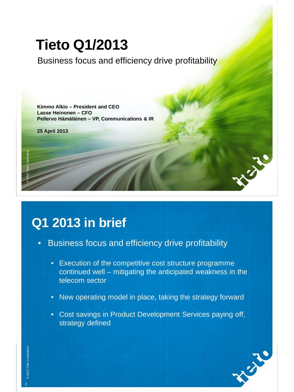Business focus and efficiency drive profitability

**Tieto Q1/2013**<br>Business focus and effici<br>Kimmo Alkio – President and CEO<br>Lasse Heinonen – CFO<br>Pellervo Hämäläinen – VP, Communicat<br>25 April 2013 **Kimmo Alkio – President and CEO Lasse Heinonen – CFO Pellervo Hämäläinen – VP, Communications & IR**

**25 April 2013**

## **Q1 2013 in brief**

- Business focus and efficiency drive profitability
	- Execution of the competitive cost structure programme continued well – mitigating the anticipated weakness in the telecom sector
	- New operating model in place, taking the strategy forward
	- Cost savings in Product Development Services paying off, strategy defined



J.J.C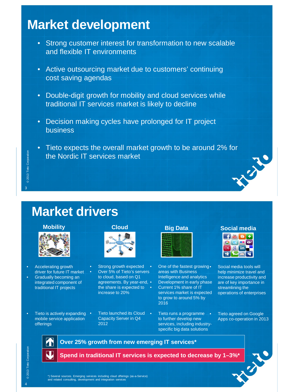## **Market development**

- Strong customer interest for transformation to new scalable and flexible IT environments
- Active outsourcing market due to customers' continuing cost saving agendas
- Double-digit growth for mobility and cloud services while traditional IT services market is likely to decline
- Decision making cycles have prolonged for IT project business
- Tieto expects the overall market growth to be around 2% for<br>the Nordic IT services market the Nordic IT services market



## @ 2013 Tieto Corporation © 2013 Tieto Corporation 3

## **Market drivers**



- Accelerating growth driver for future IT market
- Gradually becoming an integrated component of traditional IT projects
- Tieto is actively expanding mobile service application offerings





- Strong growth expected Over 5% of Tieto's servers to cloud, based on Q1 agreements. By year-end, • the share is expected to  $\bullet$ increase to 20%
	- Tieto launched its Cloud Capacity Server in Q4 2012



- One of the fastest growing. areas with Business Intelligence and analytics • Development in early phase • Current 1% share of IT services market is expected to grow to around 5% by 2016
- Tieto runs a programme to further develop new services, including industryspecific big data solutions





• Social media tools will help minimize travel and increase productivity and are of key importance in streamlining the operations of enterprises

• Tieto agreed on Google Apps co-operation in 2013



**Over 25% growth from new emerging IT services\***



\*) Several sources. Emerging services including cloud offerings (as-a-Service) and related consulting, development and integration services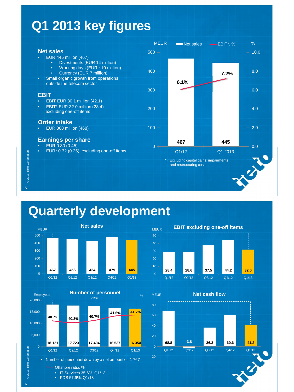## **Q1 2013 key figures**



## **Quarterly development**







## **68.8 -3.8 36.3 60.6 41.2** -20  $\Omega$ 20 40 60 80 Q1/12 Q2/12 Q3/12 Q4/12 Q1/13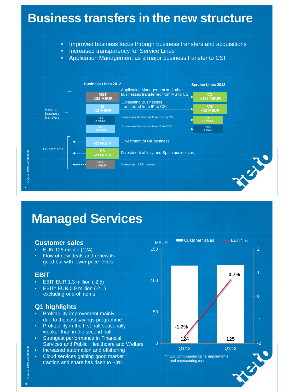

## **Managed Services**

#### **Customer sales**

- EUR 125 million (124)
- Flow of new deals and renewals good but with lower price levels

#### **EBIT**

- EBIT EUR 1.3 million (-2.5)
- EBIT\* EUR 0.9 million (-2.1) excluding one-off items

#### **Q1 highlights**

- Profitability improvement mainly due to the cost savings programme
- Profitability in the first half seasonally weaker than in the second half
- Strongest performance in Financial Services and Public, Healthcare and Welfare
- Increased automation and offshoring
- Cloud services gaining good market traction and share has risen to ~3%



© 2013 Tieto Corporation © 2013 Tieto Corporation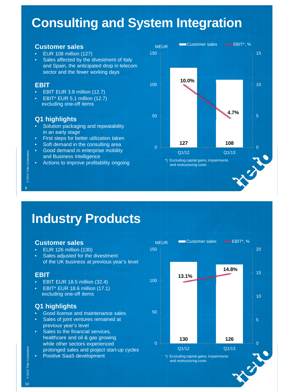# **Consulting and System Integration**

#### **Customer sales**

- EUR 108 million (127)
- Sales affected by the divestment of Italy and Spain, the anticipated drop in telecom sector and the fewer working days

#### **EBIT**

© 2013 Tieto Corporation

© 2013 Tieto Corporation

9

- EBIT EUR 3.8 million (12.7)
- EBIT\* EUR 5.1 million (12.7) excluding one-off items

## **Q1 highlights**

- Solution packaging and repeatability in an early stage
- First steps for better utilization taken
- Soft demand in the consulting area
- Good demand in enterprise mobility and Business Intelligence
- Actions to improve profitability ongoing



## **Industry Products**

#### **Customer sales**

- EUR 126 million (130)
- Sales adjusted for the divestment of the UK business at previous year's level

#### **EBIT**

- EBIT EUR 18.5 million (32.4)
- EBIT\* EUR 18.6 million (17.1) excluding one-off items

## **Q1 highlights**

- Good license and maintenance sales
- Sales of joint ventures remained at previous year's level
- Sales to the financial services, healthcare and oil & gas growing while other sectors experienced
- prolonged sales and project start-up cycles
- Positive SaaS development



© 2013 Tieto Corporation © 2013 Tieto Corporation 10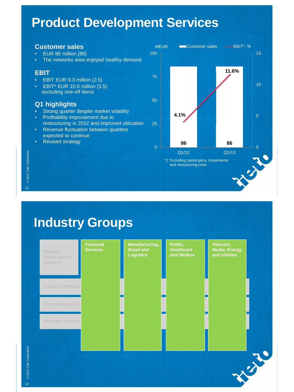## **Product Development Services**

#### **Customer sales** • EUR 86 million (86) • The networks area enjoyed healthy demand **EBIT** • EBIT EUR 9.3 million (2.5) • EBIT\* EUR 10.0 million (3.5) excluding one-off items **Q1 highlights** • Strong quarter despite market volatility • Profitability improvement due to restructuring in 2012 and improved utilization • Revenue fluctuation between quarters expected to continue • Revised strategy MEUR **86 86 4.1% 11.6%** 230 5 10 15 0 25 50 75 100  $Q1/12$   $Q1/13$ **EXECUSTOMER Sales EBIT\*, %** \*) Excluding capital gains, impairments and restructuring costs

**Industry Groups**



© 2013 Tieto Corporation © 2013 Tieto Corporation 11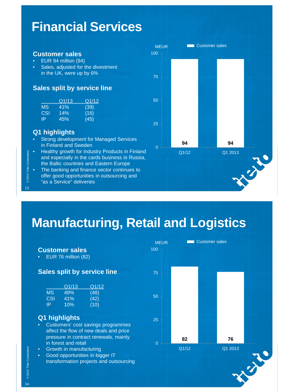## **Financial Services**

- EUR 94 million (94)
- **Sales, adjusted for the divestment** in the UK, were up by 6%

#### **Sales split by service line**

|                          |           |                  | <b>Customer sales</b>         |       |
|--------------------------|-----------|------------------|-------------------------------|-------|
|                          |           |                  | EUR 94 million (94)           |       |
|                          | $\bullet$ |                  | Sales, adjusted for the dive  |       |
|                          |           |                  | in the UK, were up by 6%      |       |
|                          |           |                  |                               |       |
|                          |           |                  |                               |       |
|                          |           |                  | <b>Sales split by service</b> |       |
|                          |           |                  | Q1/13                         |       |
|                          |           | MS               | 41%                           | Q1/12 |
|                          |           |                  |                               | (39)  |
|                          |           | CSI <sup>-</sup> | 14%                           | (16)  |
|                          |           | ΙPΓ              | 45%                           | (45)  |
|                          |           |                  |                               |       |
|                          |           |                  | Q1 highlights                 |       |
|                          |           |                  | Strong development for Ma     |       |
|                          |           |                  | in Finland and Sweden         |       |
|                          |           |                  | Healthy growth for Industry   |       |
|                          |           |                  |                               |       |
| © 2013 Tieto Corporation |           |                  | and especially in the cards   |       |
|                          |           |                  | the Baltic countries and Ea   |       |
|                          | $\bullet$ |                  | The banking and finance s     |       |
|                          |           |                  | offer good opportunities in   |       |
|                          |           |                  | "as a Service" deliveries     |       |

#### **Q1 highlights**

- Strong development for Managed Services in Finland and Sweden
- Healthy growth for Industry Products in Finland and especially in the cards business in Russia, the Baltic countries and Eastern Europe
- The banking and finance sector continues to offer good opportunities in outsourcing and "as a Service" deliveries



# **Manufacturing, Retail and Logistics**

|                                                                                                                                                                                                  | <b>MEUR</b> |             | <b>Customer sales</b> |  |
|--------------------------------------------------------------------------------------------------------------------------------------------------------------------------------------------------|-------------|-------------|-----------------------|--|
| <b>Customer sales</b>                                                                                                                                                                            | 100         |             |                       |  |
| EUR 76 million (82)<br>$\bullet$                                                                                                                                                                 |             |             |                       |  |
| <b>Sales split by service line</b>                                                                                                                                                               | 75          |             |                       |  |
| Q1/13<br>Q1/12<br><b>MS</b><br>(48)<br>49%<br><b>CSI</b><br>(42)<br>41%<br>(10)<br>IP<br>10%                                                                                                     | 50          |             |                       |  |
| Q1 highlights<br>Customers' cost savings programmes<br>$\bullet$<br>affect the flow of new deals and price                                                                                       | 25          |             |                       |  |
| pressure in contract renewals, mainly<br>in forest and retail<br>Growth in manufacturing<br>$\bullet$<br>Good opportunities in bigger IT<br>$\bullet$<br>transformation projects and outsourcing | $\Omega$    | 82<br>Q1/12 | 76<br>Q1 2013         |  |
|                                                                                                                                                                                                  |             |             |                       |  |

© 2013 Tieto Corporation © 2013 Tieto Corporation

14

13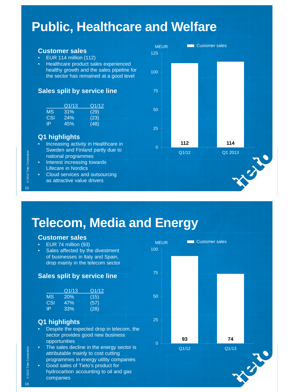## **Public, Healthcare and Welfare**

#### **Customer sales**

- EUR 114 million (112)
- Healthcare product sales experienced healthy growth and the sales pipeline for the sector has remained at a good level

#### **Sales split by service line**

|            | Q1713 | 'Q1/12. |
|------------|-------|---------|
| MS.        | 31%   | (29)    |
| <b>CSI</b> | 24%   | (23)    |
| IP         | 45%   | (48)    |

#### **Q1 highlights**

© 2013 Tieto Corporation

© 2013 Tieto Corporation

15

- Increasing activity in Healthcare in Sweden and Finland partly due to national programmes
- Interest increasing towards Lifecare in Nordics
- Cloud services and outsourcing as attractive value drivers



## **Telecom, Media and Energy**

#### **Customer sales**

- EUR 74 million (93)
- Sales affected by the divestment of businesses in Italy and Spain, drop mainly in the telecom sector

#### **Sales split by service line**

|            | Q1713 | Q1/12 |
|------------|-------|-------|
| <b>MS</b>  | 20%   | (15)  |
| <b>CSI</b> | 47%   | (57)  |
| -lP        | .33%  | (28)  |

## **Q1 highlights**

- Despite the expected drop in telecom, the sector provides good new business opportunities
- The sales decline in the energy sector is attributable mainly to cost cutting programmes in energy utility companies
- Good sales of Tieto's product for hydrocarbon accounting to oil and gas companies



© 2013 Tieto Corporation © 2013 Tieto Corporation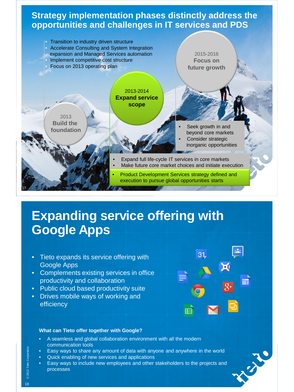## **Strategy implementation phases distinctly address the opportunities and challenges in IT services and PDS**



## **Expanding service offering with Google Apps**

- Tieto expands its service offering with Google Apps
- Complements existing services in office productivity and collaboration
- Public cloud based productivity suite
- Drives mobile ways of working and efficiency



#### **What can Tieto offer together with Google?**

- A seamless and global collaboration environment with all the modern communication tools
- Easy ways to share any amount of data with anyone and anywhere in the world
- Quick enabling of new services and applications
- Easy ways to include new employees and other stakeholders to the projects and processes

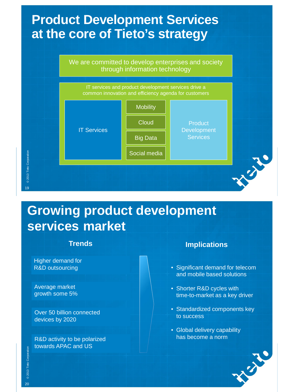# **at the core of Tieto's strategy**

We are committed to develop enterprises and society through information technology



## **Growing product development services market**

Higher demand for R&D outsourcing

Average market growth some 5%

Over 50 billion connected devices by 2020

towards APAC and US

## **Trends Implications**

- Significant demand for telecom and mobile based solutions
- Shorter R&D cycles with time-to-market as a key driver
- Standardized components key to success
- Global delivery capability R&D activity to be polarized **has become a norm**

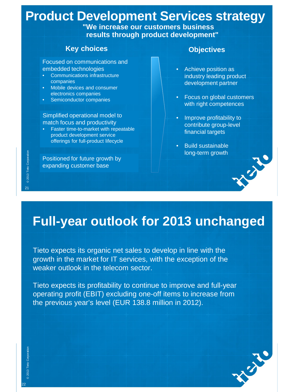# **Product Development Services strategy**<br>
"We increase our customers business<br>
results through product development"<br>
Key choices Objectives<br>
Focused on communications and<br>
embedded technologies<br>
Communications infrastructur

**"We increase our customers business results through product development"**

## **Key choices Constanting Constanting Constanting Constanting Constanting Constanting Constanting Constanting Constanting Constanting Constanting Constanting Constanting Constanting Constanting Constanting Constanting Con**

Focused on communications and embedded technologies

- Communications infrastructure companies
- Mobile devices and consumer electronics companies
- Semiconductor companies

Simplified operational model to match focus and productivity

• Faster time-to-market with repeatable product development service offerings for full-product lifecycle

Positioned for future growth by expanding customer base

- Achieve position as industry leading product development partner
- Focus on global customers with right competences
- Improve profitability to contribute group-level financial targets
- Build sustainable long-term growth



Tieto expects its organic net sales to develop in line with the growth in the market for IT services, with the exception of the weaker outlook in the telecom sector.

**Full-year outlook for 2013 unchanged**<br>Tieto expects its organic net sales to develop in line with the<br>growth in the market for IT services, with the exception of the<br>weaker outlook in the telecom sector.<br>Tieto expects its Tieto expects its profitability to continue to improve and full-year operating profit (EBIT) excluding one-off items to increase from the previous year's level (EUR 138.8 million in 2012).

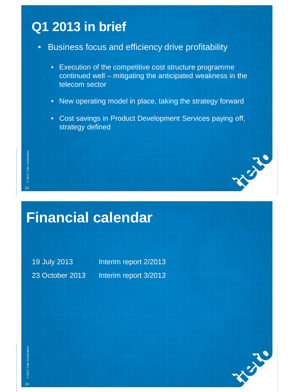## **Q1 2013 in brief**

- Business focus and efficiency drive profitability
	- Execution of the competitive cost structure programme continued well – mitigating the anticipated weakness in the telecom sector
	- New operating model in place, taking the strategy forward
	- Cost savings in Product Development Services paying off, strategy defined

# **Financial calendar**

19 July 2013 **Interim report 2/2013** 23 October 2013 Interim report 3/2013



AV. JU